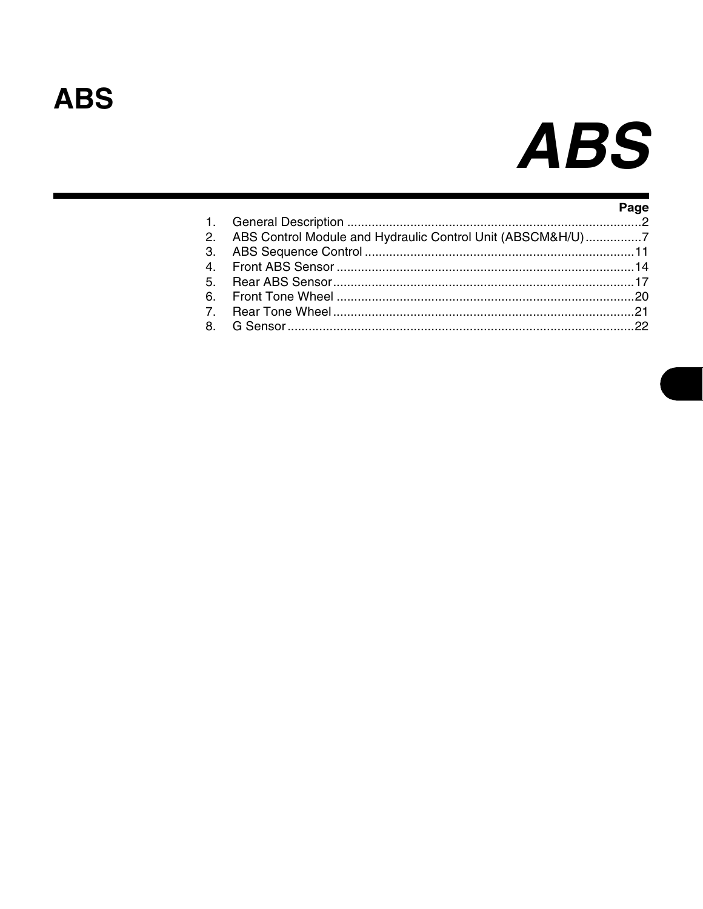## **ABS**

# **ABS**

|                                                               | Page |
|---------------------------------------------------------------|------|
| 2. ABS Control Module and Hydraulic Control Unit (ABSCM&H/U)7 |      |
|                                                               |      |
|                                                               |      |
|                                                               |      |
|                                                               |      |
|                                                               |      |
|                                                               |      |
|                                                               |      |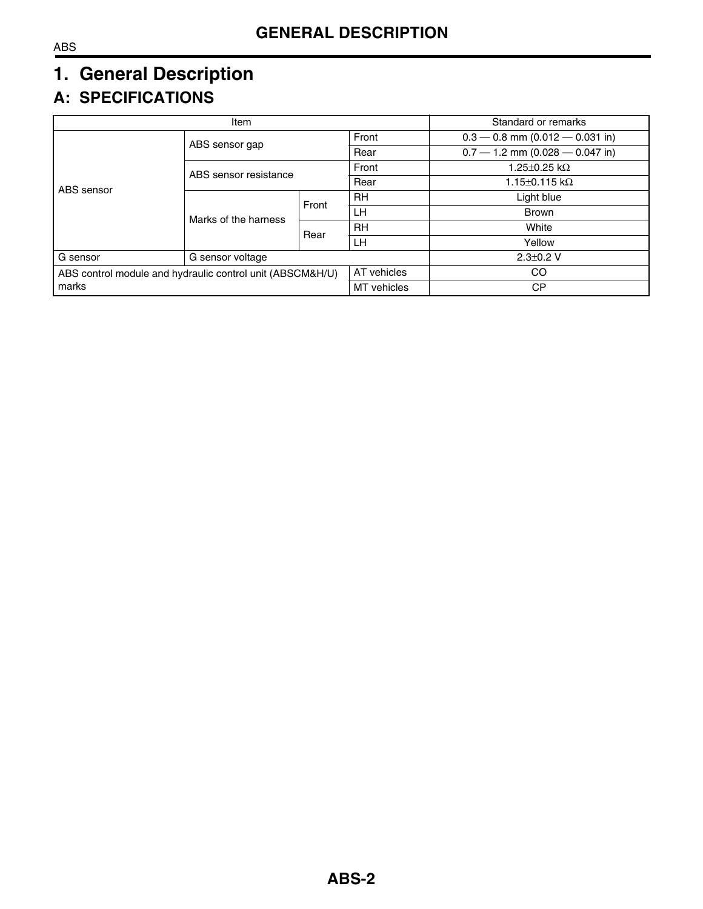## <span id="page-1-0"></span>**1. General Description**

## **A: SPECIFICATIONS**

| Item                                                      |                       |             | Standard or remarks        |                                   |  |
|-----------------------------------------------------------|-----------------------|-------------|----------------------------|-----------------------------------|--|
|                                                           | ABS sensor gap        |             | Front                      | $0.3 - 0.8$ mm (0.012 - 0.031 in) |  |
|                                                           |                       |             |                            | $0.7 - 1.2$ mm (0.028 - 0.047 in) |  |
|                                                           | ABS sensor resistance | Front       | 1.25 $\pm$ 0.25 k $\Omega$ |                                   |  |
| ABS sensor                                                |                       |             | Rear                       | 1.15 $\pm$ 0.115 k $\Omega$       |  |
|                                                           | Marks of the harness  | Front       | <b>RH</b>                  | Light blue                        |  |
|                                                           |                       |             | LН                         | <b>Brown</b>                      |  |
|                                                           |                       | Rear        | <b>RH</b>                  | White                             |  |
|                                                           |                       |             | LН                         | Yellow                            |  |
| G sensor<br>G sensor voltage                              |                       |             | $2.3 \pm 0.2$ V            |                                   |  |
| ABS control module and hydraulic control unit (ABSCM&H/U) |                       | AT vehicles | CO.                        |                                   |  |
| marks                                                     |                       | MT vehicles | СP                         |                                   |  |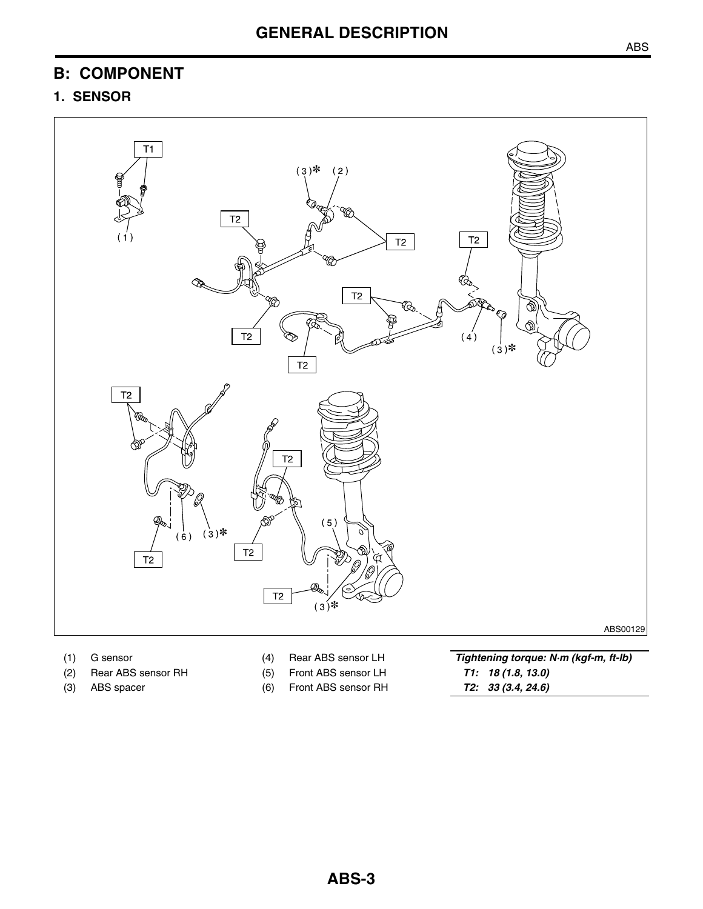## **B: COMPONENT**

## **1. SENSOR**



- 
- 
- 
- 
- 
- (3) ABS spacer (6) Front ABS sensor RH

(1) G sensor (4) Rear ABS sensor LH *Tightening torque: N·m (kgf-m, ft-lb)* (2) Rear ABS sensor RH (5) Front ABS sensor LH *T1: 18 (1.8, 13.0)*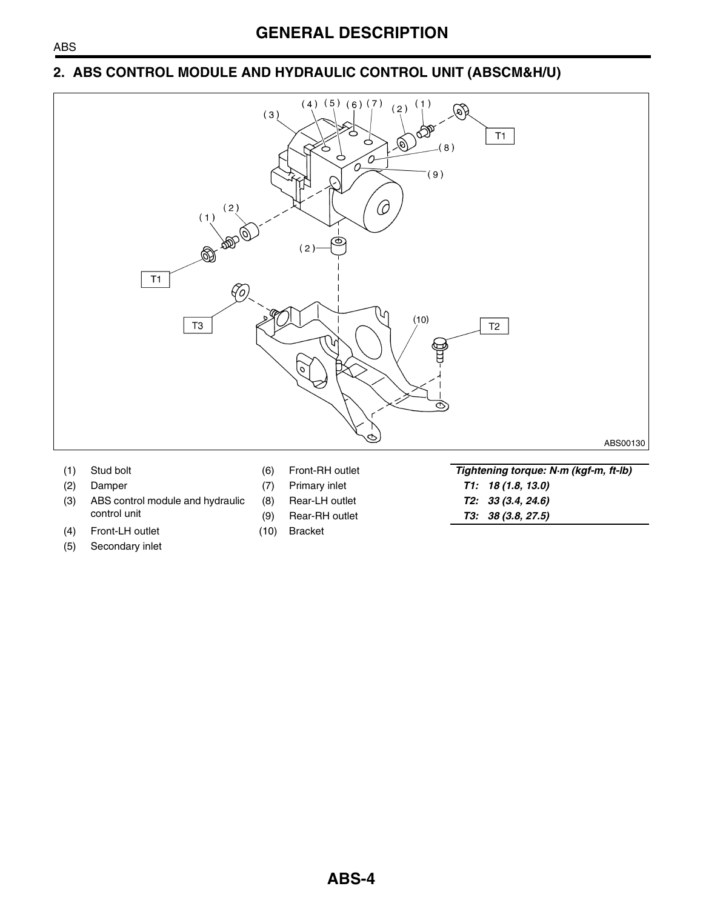#### **2. ABS CONTROL MODULE AND HYDRAULIC CONTROL UNIT (ABSCM&H/U)**



- 
- 
- (3) ABS control module and hydraulic control unit
- (4) Front-LH outlet (10) Bracket
- (5) Secondary inlet
- 
- (1) Stud bolt (6) Front-RH outlet *Tightening torque: N·m (kgf-m, ft-lb)* (2) Damper (7) Primary inlet *T1: 18 (1.8, 13.0)* (8) Rear-LH outlet *T2: 33 (3.4, 24.6)* (9) Rear-RH outlet *T3: 38 (3.8, 27.5)*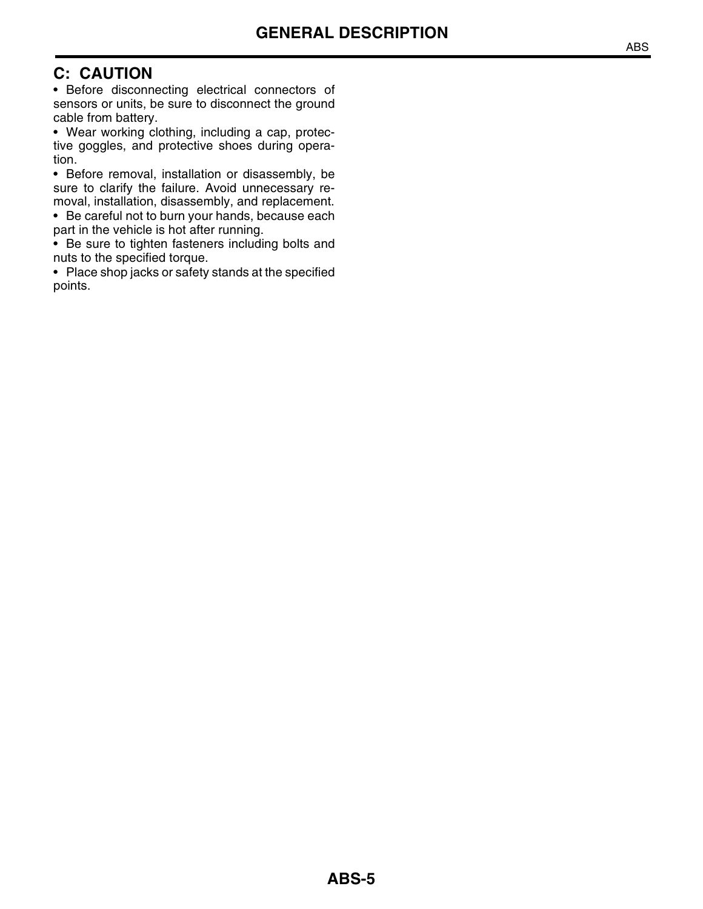## **C: CAUTION**

• Before disconnecting electrical connectors of sensors or units, be sure to disconnect the ground cable from battery.

• Wear working clothing, including a cap, protective goggles, and protective shoes during operation.

• Before removal, installation or disassembly, be sure to clarify the failure. Avoid unnecessary removal, installation, disassembly, and replacement.

• Be careful not to burn your hands, because each part in the vehicle is hot after running.

• Be sure to tighten fasteners including bolts and nuts to the specified torque.

• Place shop jacks or safety stands at the specified points.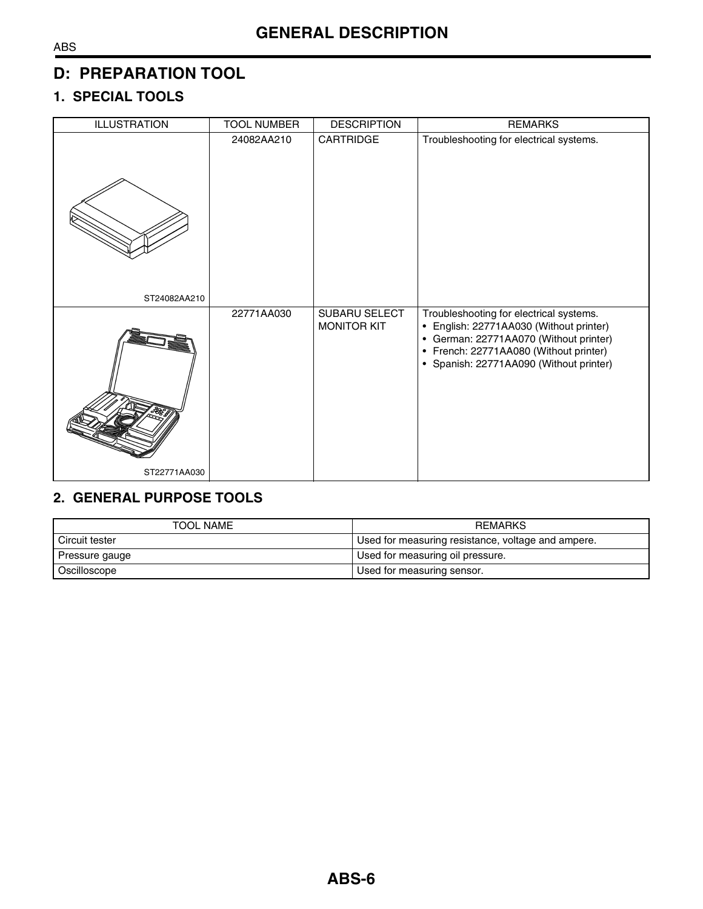## **D: PREPARATION TOOL**

## **1. SPECIAL TOOLS**

| <b>ILLUSTRATION</b> | <b>TOOL NUMBER</b> | <b>DESCRIPTION</b>                  | <b>REMARKS</b>                                                                                                                                                                                                    |
|---------------------|--------------------|-------------------------------------|-------------------------------------------------------------------------------------------------------------------------------------------------------------------------------------------------------------------|
|                     | 24082AA210         | CARTRIDGE                           | Troubleshooting for electrical systems.                                                                                                                                                                           |
| ST24082AA210        |                    |                                     |                                                                                                                                                                                                                   |
|                     | 22771AA030         | SUBARU SELECT<br><b>MONITOR KIT</b> | Troubleshooting for electrical systems.<br>• English: 22771AA030 (Without printer)<br>• German: 22771AA070 (Without printer)<br>• French: 22771AA080 (Without printer)<br>• Spanish: 22771AA090 (Without printer) |
| ST22771AA030        |                    |                                     |                                                                                                                                                                                                                   |

## **2. GENERAL PURPOSE TOOLS**

| TOOL NAME      | <b>REMARKS</b>                                     |  |
|----------------|----------------------------------------------------|--|
| Circuit tester | Used for measuring resistance, voltage and ampere. |  |
| Pressure gauge | Used for measuring oil pressure.                   |  |
| Oscilloscope   | Used for measuring sensor.                         |  |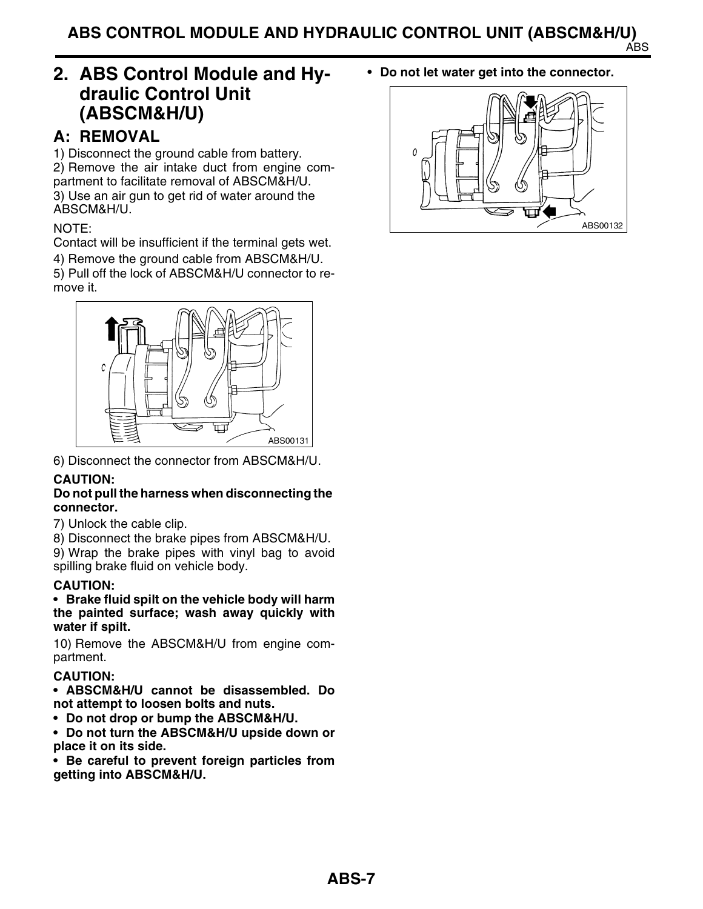## <span id="page-6-0"></span>**2. ABS Control Module and Hydraulic Control Unit (ABSCM&H/U)**

## **A: REMOVAL**

1) Disconnect the ground cable from battery. 2) Remove the air intake duct from engine compartment to facilitate removal of ABSCM&H/U. 3) Use an air gun to get rid of water around the ABSCM&H/U.

#### NOTE:

Contact will be insufficient if the terminal gets wet.

4) Remove the ground cable from ABSCM&H/U.

5) Pull off the lock of ABSCM&H/U connector to remove it.



6) Disconnect the connector from ABSCM&H/U.

#### **CAUTION:**

#### **Do not pull the harness when disconnecting the connector.**

7) Unlock the cable clip.

8) Disconnect the brake pipes from ABSCM&H/U.

9) Wrap the brake pipes with vinyl bag to avoid spilling brake fluid on vehicle body.

#### **CAUTION:**

**• Brake fluid spilt on the vehicle body will harm the painted surface; wash away quickly with water if spilt.**

10) Remove the ABSCM&H/U from engine compartment.

#### **CAUTION:**

**• ABSCM&H/U cannot be disassembled. Do not attempt to loosen bolts and nuts.**

**• Do not drop or bump the ABSCM&H/U.**

**• Do not turn the ABSCM&H/U upside down or place it on its side.**

**• Be careful to prevent foreign particles from getting into ABSCM&H/U.**

**• Do not let water get into the connector.**

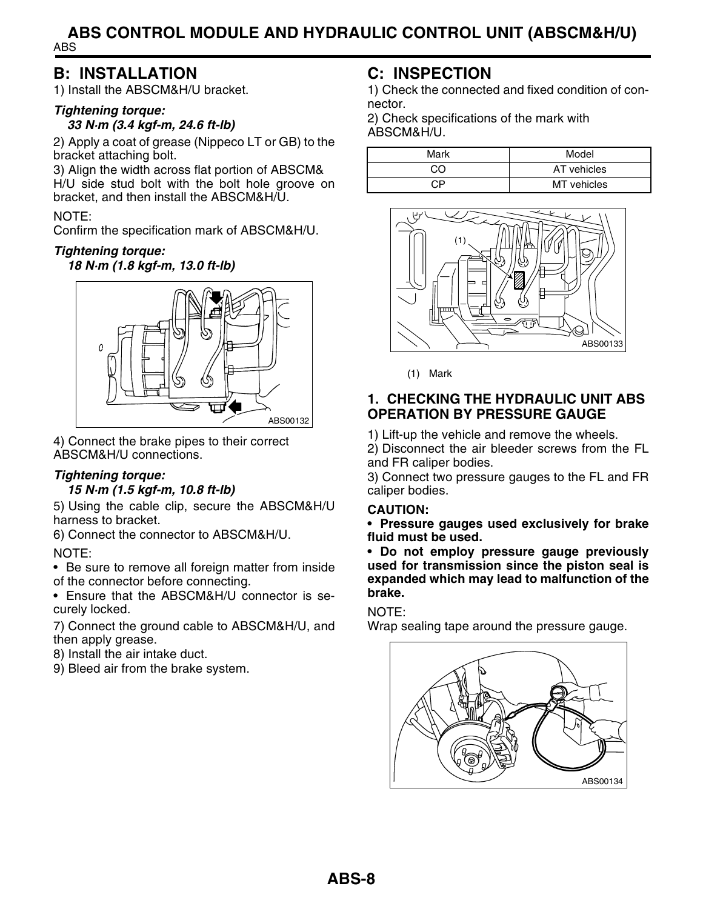#### ABS **ABS CONTROL MODULE AND HYDRAULIC CONTROL UNIT (ABSCM&H/U)**

## **B: INSTALLATION**

1) Install the ABSCM&H/U bracket.

#### *Tightening torque: 33 N·m (3.4 kgf-m, 24.6 ft-lb)*

2) Apply a coat of grease (Nippeco LT or GB) to the bracket attaching bolt.

3) Align the width across flat portion of ABSCM& H/U side stud bolt with the bolt hole groove on bracket, and then install the ABSCM&H/U.

#### NOTE:

Confirm the specification mark of ABSCM&H/U.

#### *Tightening torque:*

*18 N·m (1.8 kgf-m, 13.0 ft-lb)*



4) Connect the brake pipes to their correct ABSCM&H/U connections.

## *Tightening torque:*

#### *15 N·m (1.5 kgf-m, 10.8 ft-lb)*

5) Using the cable clip, secure the ABSCM&H/U harness to bracket.

6) Connect the connector to ABSCM&H/U.

#### NOTE:

• Be sure to remove all foreign matter from inside of the connector before connecting.

• Ensure that the ABSCM&H/U connector is securely locked.

7) Connect the ground cable to ABSCM&H/U, and then apply grease.

8) Install the air intake duct.

9) Bleed air from the brake system.

## **C: INSPECTION**

1) Check the connected and fixed condition of connector.

2) Check specifications of the mark with ABSCM&H/U.

| Mark | Model       |
|------|-------------|
| CO   | AT vehicles |
| ∩P   | MT vehicles |



(1) Mark

#### **1. CHECKING THE HYDRAULIC UNIT ABS OPERATION BY PRESSURE GAUGE**

1) Lift-up the vehicle and remove the wheels.

2) Disconnect the air bleeder screws from the FL and FR caliper bodies.

3) Connect two pressure gauges to the FL and FR caliper bodies.

#### **CAUTION:**

**• Pressure gauges used exclusively for brake fluid must be used.**

**• Do not employ pressure gauge previously used for transmission since the piston seal is expanded which may lead to malfunction of the brake.**

#### NOTE:

Wrap sealing tape around the pressure gauge.

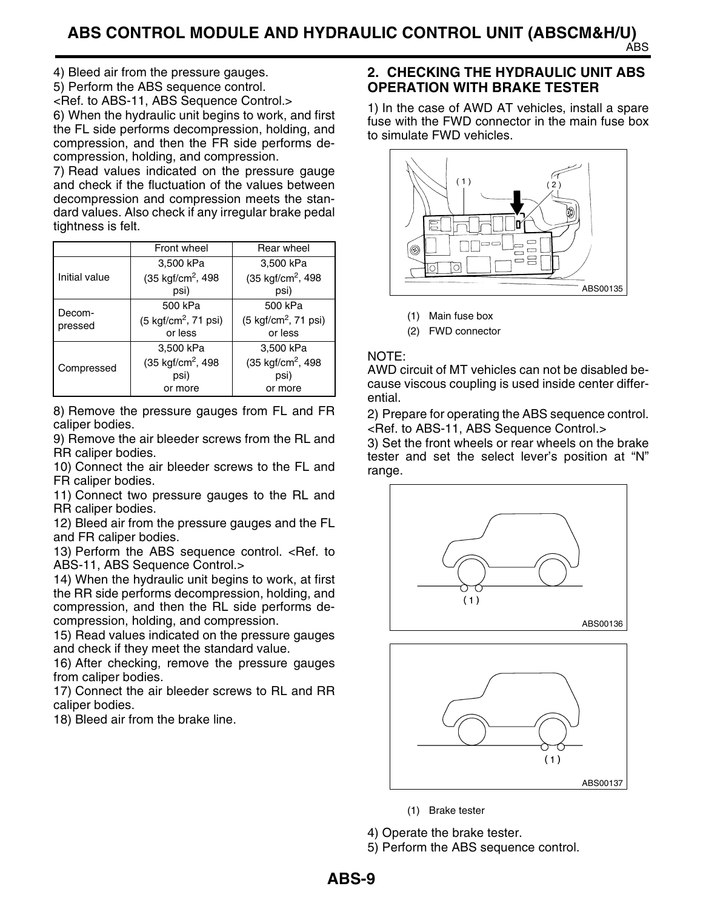4) Bleed air from the pressure gauges.

5) Perform the ABS sequence control.

[<Ref. to ABS-11, ABS Sequence Control.>](#page-10-0) 6) When the hydraulic unit begins to work, and first the FL side performs decompression, holding, and compression, and then the FR side performs decompression, holding, and compression.

7) Read values indicated on the pressure gauge and check if the fluctuation of the values between decompression and compression meets the standard values. Also check if any irregular brake pedal tightness is felt.

|               | Front wheel                            | Rear wheel                             |
|---------------|----------------------------------------|----------------------------------------|
|               | 3,500 kPa                              | 3,500 kPa                              |
| Initial value | $(35 \text{ kgf/cm}^2, 498$            | $(35 \text{ kgf/cm}^2, 498$            |
|               | psi)                                   | psi)                                   |
| Decom-        | 500 kPa                                | 500 kPa                                |
| pressed       | $(5 \text{ kgf/cm}^2, 71 \text{ psi})$ | $(5 \text{ kgf/cm}^2, 71 \text{ psi})$ |
|               | or less                                | or less                                |
|               | 3,500 kPa                              | 3,500 kPa                              |
| Compressed    | (35 kgf/cm <sup>2</sup> , 498          | $(35 \text{ kgf/cm}^2, 498$            |
|               | psi)                                   | psi)                                   |
|               | or more                                | or more                                |

8) Remove the pressure gauges from FL and FR caliper bodies.

9) Remove the air bleeder screws from the RL and RR caliper bodies.

10) Connect the air bleeder screws to the FL and FR caliper bodies.

11) Connect two pressure gauges to the RL and RR caliper bodies.

12) Bleed air from the pressure gauges and the FL and FR caliper bodies.

13) Perform the ABS sequence control. [<Ref. to](#page-10-0) [ABS-11, ABS Sequence Control.>](#page-10-0)

14) When the hydraulic unit begins to work, at first the RR side performs decompression, holding, and compression, and then the RL side performs decompression, holding, and compression.

15) Read values indicated on the pressure gauges and check if they meet the standard value.

16) After checking, remove the pressure gauges from caliper bodies.

17) Connect the air bleeder screws to RL and RR caliper bodies.

18) Bleed air from the brake line.

#### **2. CHECKING THE HYDRAULIC UNIT ABS OPERATION WITH BRAKE TESTER**

1) In the case of AWD AT vehicles, install a spare fuse with the FWD connector in the main fuse box to simulate FWD vehicles.



- (1) Main fuse box
- (2) FWD connector

#### NOTE:

AWD circuit of MT vehicles can not be disabled because viscous coupling is used inside center differential.

2) Prepare for operating the ABS sequence control. [<Ref. to ABS-11, ABS Sequence Control.>](#page-10-0)

3) Set the front wheels or rear wheels on the brake tester and set the select lever's position at "N" range.





(1) Brake tester

4) Operate the brake tester.

5) Perform the ABS sequence control.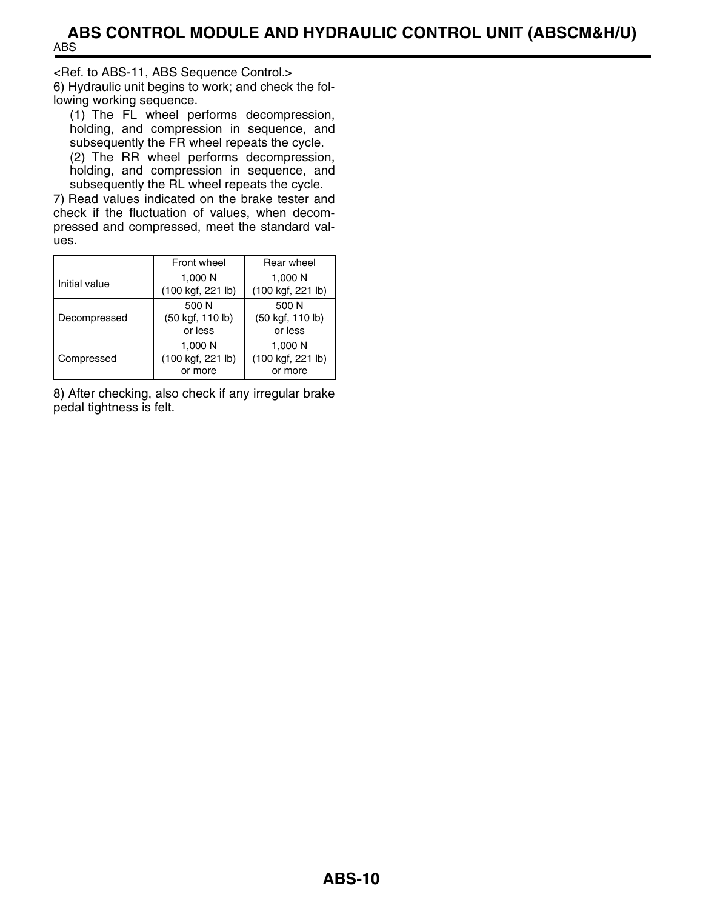[<Ref. to ABS-11, ABS Sequence Control.>](#page-10-0) 6) Hydraulic unit begins to work; and check the following working sequence.

(1) The FL wheel performs decompression, holding, and compression in sequence, and subsequently the FR wheel repeats the cycle.

(2) The RR wheel performs decompression, holding, and compression in sequence, and subsequently the RL wheel repeats the cycle.

7) Read values indicated on the brake tester and check if the fluctuation of values, when decompressed and compressed, meet the standard values.

|               | Front wheel                             | Rear wheel                              |  |
|---------------|-----------------------------------------|-----------------------------------------|--|
| Initial value | 1,000 N<br>(100 kgf, 221 lb)            | 1,000 N<br>(100 kgf, 221 lb)            |  |
| Decompressed  | 500 N<br>(50 kgf, 110 lb)<br>or less    | 500 N<br>(50 kgf, 110 lb)<br>or less    |  |
| Compressed    | 1,000 N<br>(100 kgf, 221 lb)<br>or more | 1,000 N<br>(100 kgf, 221 lb)<br>or more |  |

8) After checking, also check if any irregular brake pedal tightness is felt.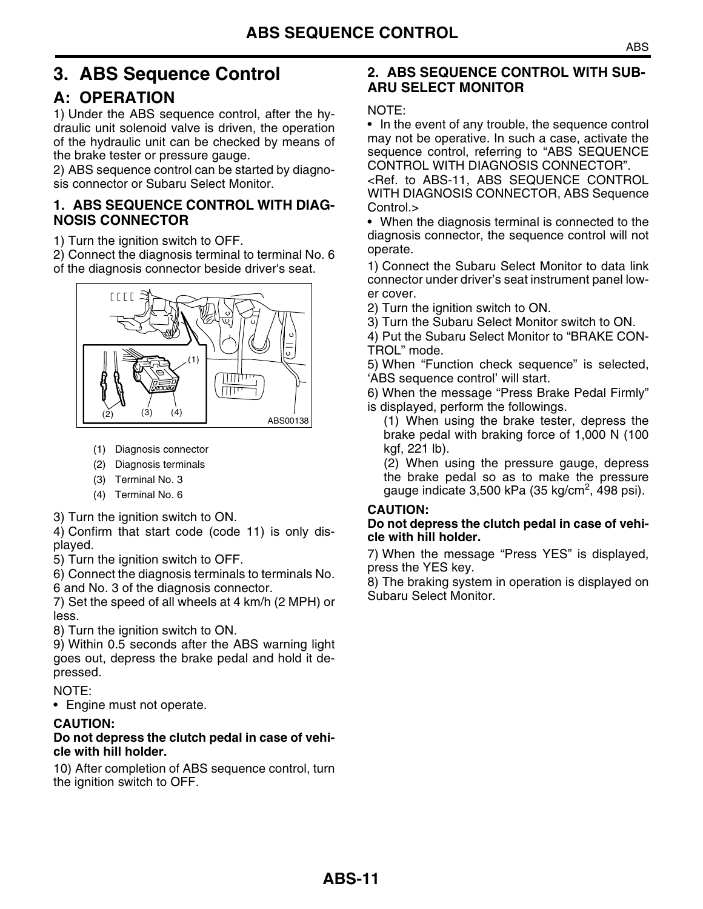## <span id="page-10-0"></span>**3. ABS Sequence Control**

## **A: OPERATION**

1) Under the ABS sequence control, after the hydraulic unit solenoid valve is driven, the operation of the hydraulic unit can be checked by means of the brake tester or pressure gauge.

2) ABS sequence control can be started by diagnosis connector or Subaru Select Monitor.

#### <span id="page-10-1"></span>**1. ABS SEQUENCE CONTROL WITH DIAG-NOSIS CONNECTOR**

1) Turn the ignition switch to OFF.

2) Connect the diagnosis terminal to terminal No. 6 of the diagnosis connector beside driver's seat.



- (1) Diagnosis connector
- (2) Diagnosis terminals
- (3) Terminal No. 3
- (4) Terminal No. 6

3) Turn the ignition switch to ON.

4) Confirm that start code (code 11) is only displayed.

5) Turn the ignition switch to OFF.

6) Connect the diagnosis terminals to terminals No. 6 and No. 3 of the diagnosis connector.

7) Set the speed of all wheels at 4 km/h (2 MPH) or less.

8) Turn the ignition switch to ON.

9) Within 0.5 seconds after the ABS warning light goes out, depress the brake pedal and hold it depressed.

#### NOTE:

• Engine must not operate.

#### **CAUTION:**

#### **Do not depress the clutch pedal in case of vehicle with hill holder.**

10) After completion of ABS sequence control, turn the ignition switch to OFF.

#### **2. ABS SEQUENCE CONTROL WITH SUB-ARU SELECT MONITOR**

NOTE:

• In the event of any trouble, the sequence control may not be operative. In such a case, activate the sequence control, referring to "ABS SEQUENCE CONTROL WITH DIAGNOSIS CONNECTOR".

[<Ref. to ABS-11, ABS SEQUENCE CONTROL](#page-10-1) WITH DIAGNOSIS CONNECTOR, ABS Sequence [Control.>](#page-10-1)

• When the diagnosis terminal is connected to the diagnosis connector, the sequence control will not operate.

1) Connect the Subaru Select Monitor to data link connector under driver's seat instrument panel lower cover.

- 2) Turn the ignition switch to ON.
- 3) Turn the Subaru Select Monitor switch to ON.

4) Put the Subaru Select Monitor to "BRAKE CON-TROL" mode.

5) When "Function check sequence" is selected, 'ABS sequence control' will start.

6) When the message "Press Brake Pedal Firmly" is displayed, perform the followings.

(1) When using the brake tester, depress the brake pedal with braking force of 1,000 N (100 kgf, 221 lb).

(2) When using the pressure gauge, depress the brake pedal so as to make the pressure gauge indicate 3,500 kPa (35 kg/cm $^2$ , 498 psi).

#### **CAUTION:**

#### **Do not depress the clutch pedal in case of vehicle with hill holder.**

7) When the message "Press YES" is displayed, press the YES key.

8) The braking system in operation is displayed on Subaru Select Monitor.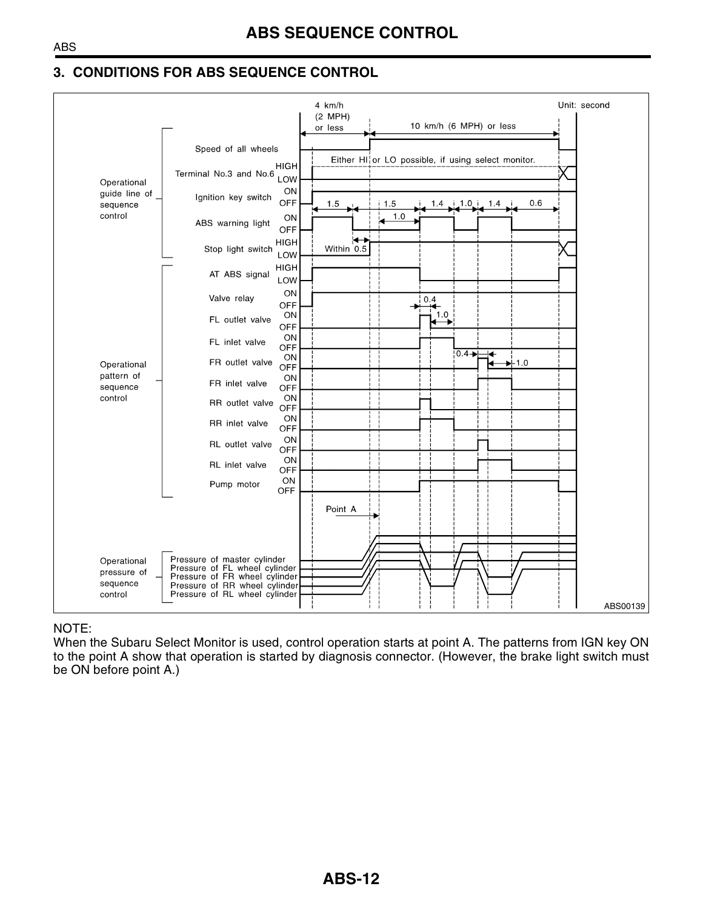#### **3. CONDITIONS FOR ABS SEQUENCE CONTROL**



#### NOTE:

When the Subaru Select Monitor is used, control operation starts at point A. The patterns from IGN key ON to the point A show that operation is started by diagnosis connector. (However, the brake light switch must be ON before point A.)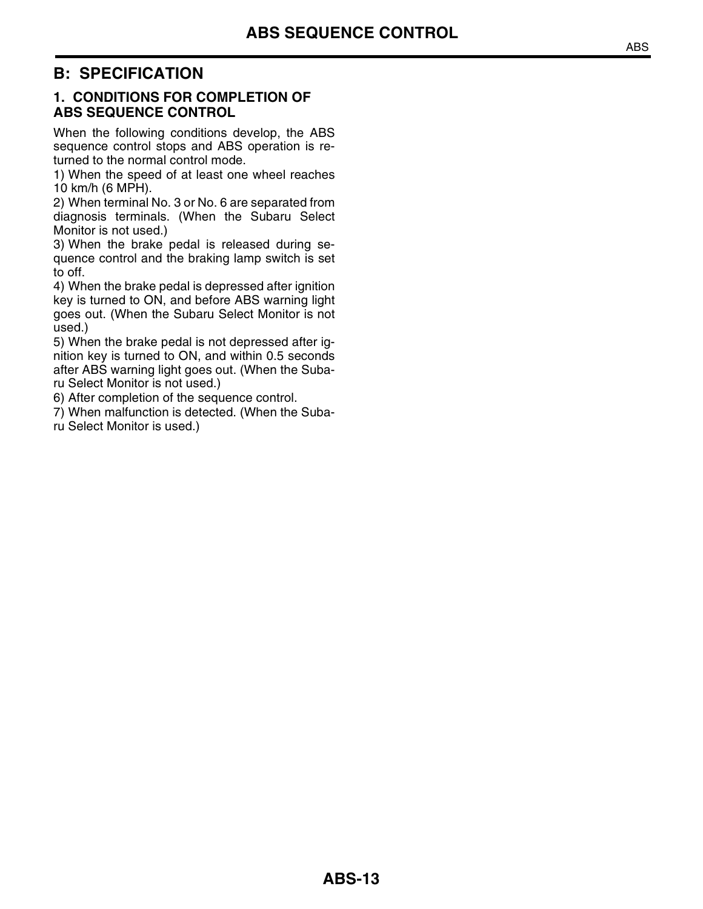## **B: SPECIFICATION**

#### **1. CONDITIONS FOR COMPLETION OF ABS SEQUENCE CONTROL**

When the following conditions develop, the ABS sequence control stops and ABS operation is returned to the normal control mode.

1) When the speed of at least one wheel reaches 10 km/h (6 MPH).

2) When terminal No. 3 or No. 6 are separated from diagnosis terminals. (When the Subaru Select Monitor is not used.)

3) When the brake pedal is released during sequence control and the braking lamp switch is set to off.

4) When the brake pedal is depressed after ignition key is turned to ON, and before ABS warning light goes out. (When the Subaru Select Monitor is not used.)

5) When the brake pedal is not depressed after ignition key is turned to ON, and within 0.5 seconds after ABS warning light goes out. (When the Subaru Select Monitor is not used.)

6) After completion of the sequence control.

7) When malfunction is detected. (When the Subaru Select Monitor is used.)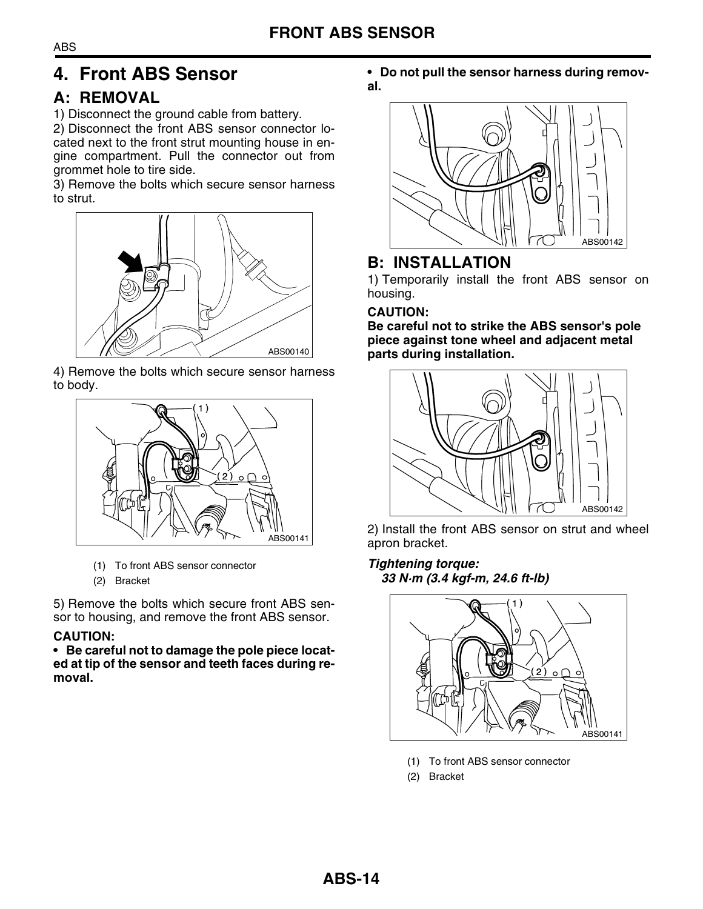## <span id="page-13-0"></span>**4. Front ABS Sensor**

## **A: REMOVAL**

1) Disconnect the ground cable from battery.

2) Disconnect the front ABS sensor connector located next to the front strut mounting house in engine compartment. Pull the connector out from grommet hole to tire side.

3) Remove the bolts which secure sensor harness to strut.



4) Remove the bolts which secure sensor harness to body.



- (1) To front ABS sensor connector
- (2) Bracket

5) Remove the bolts which secure front ABS sensor to housing, and remove the front ABS sensor.

#### **CAUTION:**

**• Be careful not to damage the pole piece located at tip of the sensor and teeth faces during removal.**

**• Do not pull the sensor harness during removal.**



## **B: INSTALLATION**

1) Temporarily install the front ABS sensor on housing.

#### **CAUTION:**

**Be careful not to strike the ABS sensor's pole piece against tone wheel and adjacent metal parts during installation.**



2) Install the front ABS sensor on strut and wheel apron bracket.

#### *Tightening torque: 33 N·m (3.4 kgf-m, 24.6 ft-lb)*



- (1) To front ABS sensor connector
- (2) Bracket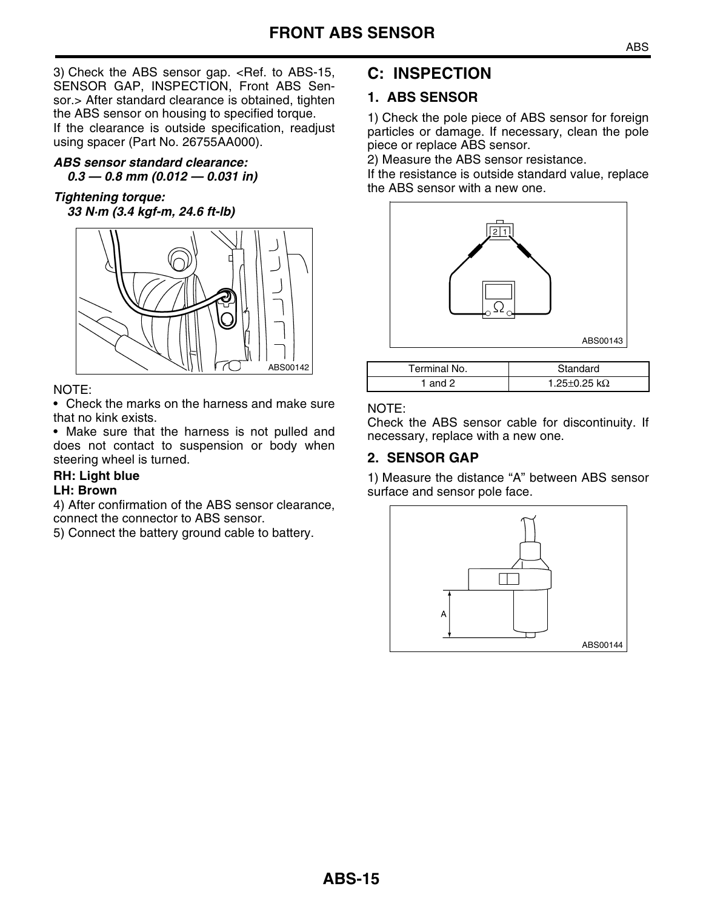3) Check the ABS sensor gap. [<Ref. to ABS-15,](#page-14-0) [SENSOR GAP, INSPECTION, Front ABS Sen](#page-14-0)[sor.>](#page-14-0) After standard clearance is obtained, tighten the ABS sensor on housing to specified torque. If the clearance is outside specification, readjust using spacer (Part No. 26755AA000).

#### *ABS sensor standard clearance: 0.3 — 0.8 mm (0.012 — 0.031 in)*

#### *Tightening torque: 33 N·m (3.4 kgf-m, 24.6 ft-lb)*



#### NOTE:

• Check the marks on the harness and make sure that no kink exists.

• Make sure that the harness is not pulled and does not contact to suspension or body when steering wheel is turned.

#### **RH: Light blue**

#### **LH: Brown**

4) After confirmation of the ABS sensor clearance, connect the connector to ABS sensor.

5) Connect the battery ground cable to battery.

## **C: INSPECTION**

#### <span id="page-14-1"></span>**1. ABS SENSOR**

1) Check the pole piece of ABS sensor for foreign particles or damage. If necessary, clean the pole piece or replace ABS sensor.

2) Measure the ABS sensor resistance.

If the resistance is outside standard value, replace the ABS sensor with a new one.



| ABS00142 | Terminal No. | Standard                   |
|----------|--------------|----------------------------|
|          | and 2        | 1.25 $\pm$ 0.25 k $\Omega$ |

#### NOTE:

Check the ABS sensor cable for discontinuity. If necessary, replace with a new one.

#### <span id="page-14-0"></span>**2. SENSOR GAP**

1) Measure the distance "A" between ABS sensor surface and sensor pole face.

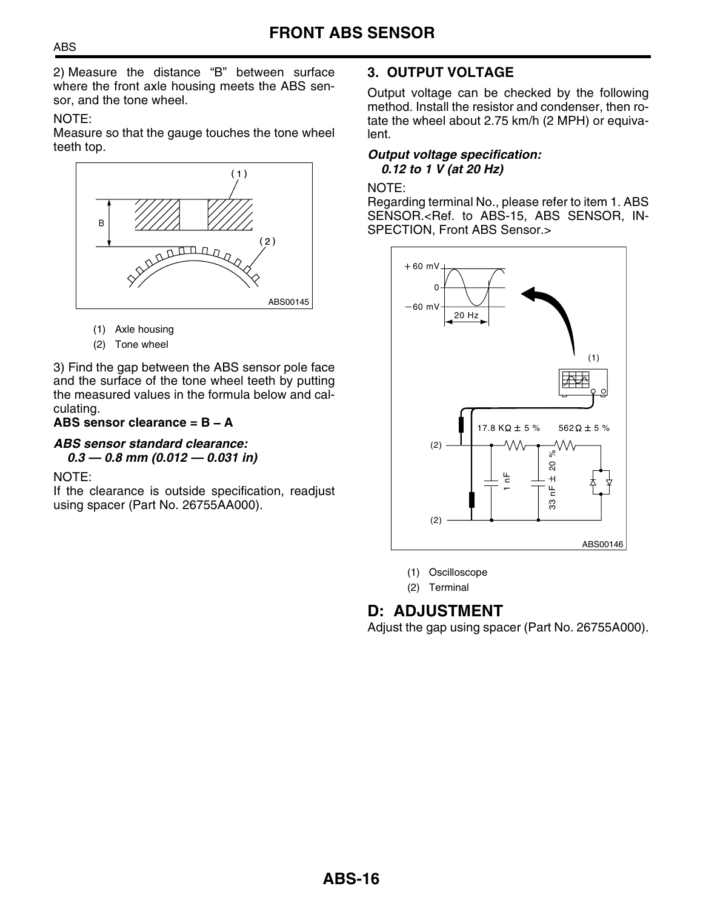2) Measure the distance "B" between surface where the front axle housing meets the ABS sensor, and the tone wheel.

#### NOTE:

Measure so that the gauge touches the tone wheel teeth top.



- (1) Axle housing
- (2) Tone wheel

3) Find the gap between the ABS sensor pole face and the surface of the tone wheel teeth by putting the measured values in the formula below and calculating.

#### **ABS sensor clearance = B** − **A**

#### *ABS sensor standard clearance:*

*0.3 — 0.8 mm (0.012 — 0.031 in)*

#### NOTE:

If the clearance is outside specification, readjust using spacer (Part No. 26755AA000).

#### **3. OUTPUT VOLTAGE**

Output voltage can be checked by the following method. Install the resistor and condenser, then rotate the wheel about 2.75 km/h (2 MPH) or equivalent.

#### *Output voltage specification: 0.12 to 1 V (at 20 Hz)*

#### NOTE:

Regarding terminal No., please refer to item 1. ABS SENSOR.[<Ref. to ABS-15, ABS SENSOR, IN-](#page-14-1)[SPECTION, Front ABS Sensor.>](#page-14-1)



(1) Oscilloscope

(2) Terminal

## **D: ADJUSTMENT**

Adjust the gap using spacer (Part No. 26755A000).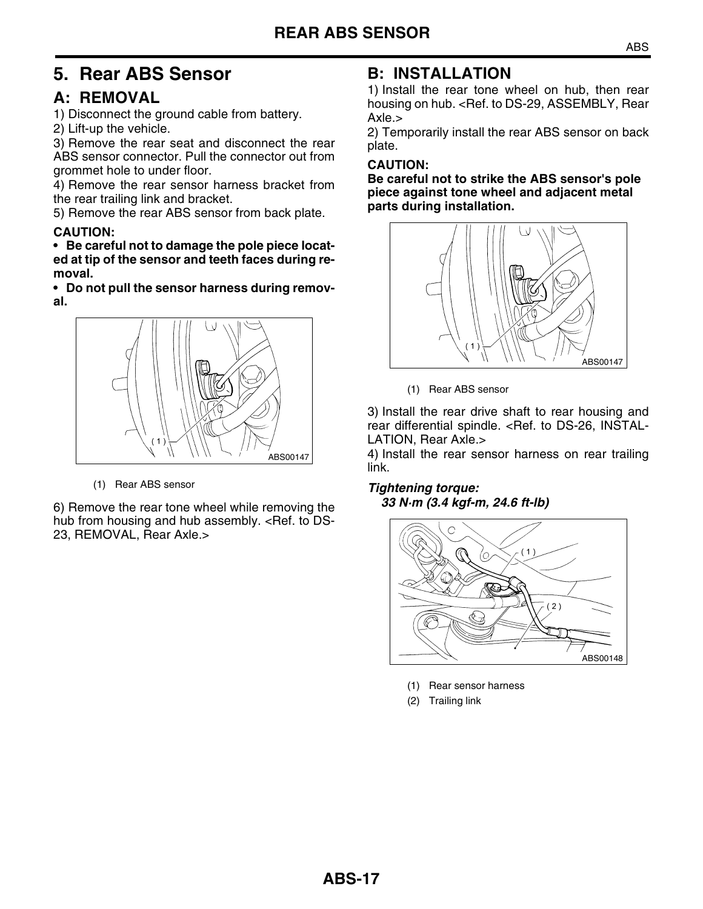## <span id="page-16-0"></span>**5. Rear ABS Sensor**

## **A: REMOVAL**

- 1) Disconnect the ground cable from battery.
- 2) Lift-up the vehicle.

3) Remove the rear seat and disconnect the rear ABS sensor connector. Pull the connector out from grommet hole to under floor.

4) Remove the rear sensor harness bracket from the rear trailing link and bracket.

5) Remove the rear ABS sensor from back plate.

#### **CAUTION:**

**• Be careful not to damage the pole piece located at tip of the sensor and teeth faces during removal.**

**• Do not pull the sensor harness during removal.**



(1) Rear ABS sensor

6) Remove the rear tone wheel while removing the hub from housing and hub assembly. <Ref. to DS-23, REMOVAL, Rear Axle.>

## **B: INSTALLATION**

1) Install the rear tone wheel on hub, then rear housing on hub. < Ref. to DS-29, ASSEMBLY, Rear Axle.>

2) Temporarily install the rear ABS sensor on back plate.

#### **CAUTION:**

**Be careful not to strike the ABS sensor's pole piece against tone wheel and adjacent metal parts during installation.**



<sup>(1)</sup> Rear ABS sensor

3) Install the rear drive shaft to rear housing and rear differential spindle. <Ref. to DS-26, INSTAL-LATION, Rear Axle.>

4) Install the rear sensor harness on rear trailing link.

#### *Tightening torque: 33 N·m (3.4 kgf-m, 24.6 ft-lb)*



- (1) Rear sensor harness
- (2) Trailing link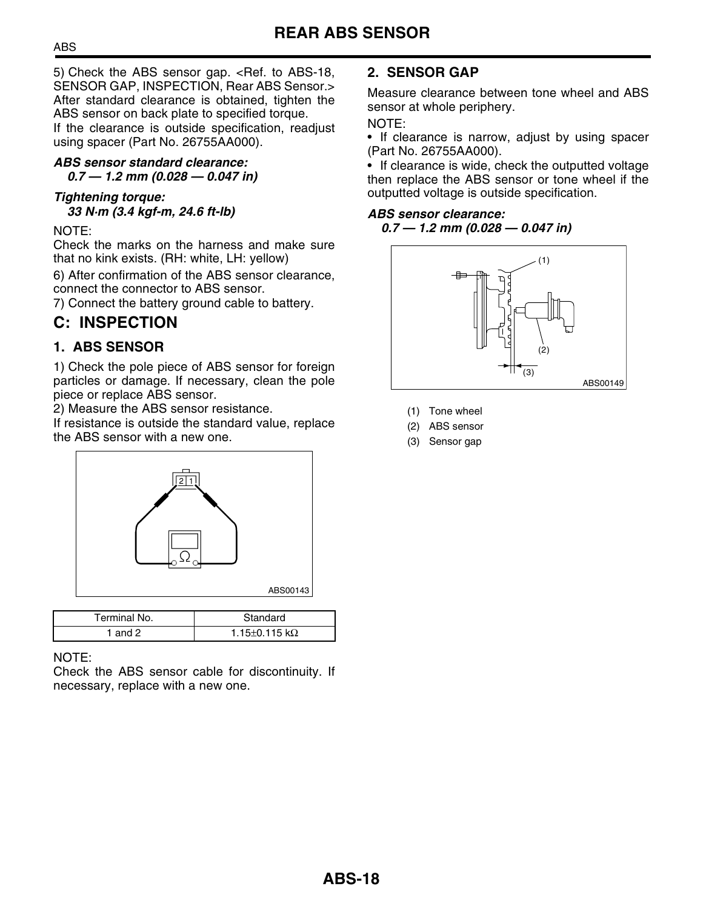5) Check the ABS sensor gap. [<Ref. to ABS-18,](#page-17-0) [SENSOR GAP, INSPECTION, Rear ABS Sensor.>](#page-17-0) After standard clearance is obtained, tighten the ABS sensor on back plate to specified torque. If the clearance is outside specification, readjust using spacer (Part No. 26755AA000).

#### *ABS sensor standard clearance: 0.7 — 1.2 mm (0.028 — 0.047 in)*

#### *Tightening torque: 33 N·m (3.4 kgf-m, 24.6 ft-lb)*

#### NOTE:

Check the marks on the harness and make sure that no kink exists. (RH: white, LH: yellow)

6) After confirmation of the ABS sensor clearance, connect the connector to ABS sensor.

7) Connect the battery ground cable to battery.

## **C: INSPECTION**

#### <span id="page-17-1"></span>**1. ABS SENSOR**

1) Check the pole piece of ABS sensor for foreign particles or damage. If necessary, clean the pole piece or replace ABS sensor.

2) Measure the ABS sensor resistance.

If resistance is outside the standard value, replace the ABS sensor with a new one.



| Terminal No. | Standard                    |
|--------------|-----------------------------|
| 1 and 2      | 1.15 $\pm$ 0.115 k $\Omega$ |

#### NOTE:

Check the ABS sensor cable for discontinuity. If necessary, replace with a new one.

#### <span id="page-17-0"></span>**2. SENSOR GAP**

Measure clearance between tone wheel and ABS sensor at whole periphery.

#### NOTE:

• If clearance is narrow, adjust by using spacer (Part No. 26755AA000).

• If clearance is wide, check the outputted voltage then replace the ABS sensor or tone wheel if the outputted voltage is outside specification.

#### *ABS sensor clearance:*

#### *0.7 — 1.2 mm (0.028 — 0.047 in)*



- (1) Tone wheel
- (2) ABS sensor
- (3) Sensor gap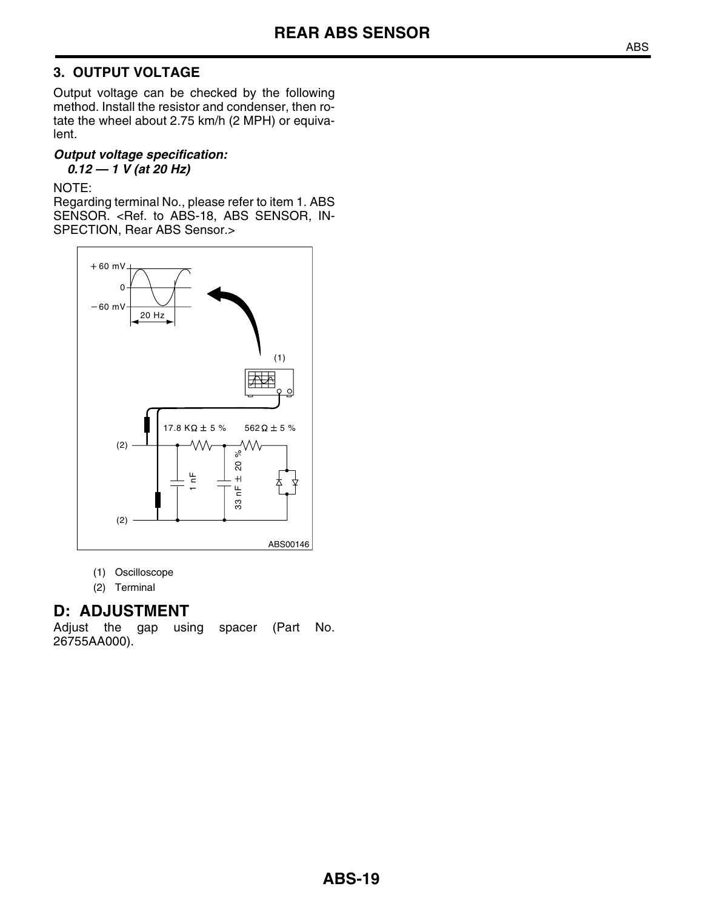#### **3. OUTPUT VOLTAGE**

Output voltage can be checked by the following method. Install the resistor and condenser, then rotate the wheel about 2.75 km/h (2 MPH) or equivalent.

#### *Output voltage specification: 0.12 — 1 V (at 20 Hz)*

#### NOTE:

Regarding terminal No., please refer to item 1. ABS SENSOR. [<Ref. to ABS-18, ABS SENSOR, IN-](#page-17-1)[SPECTION, Rear ABS Sensor.>](#page-17-1)



- (1) Oscilloscope
- (2) Terminal

#### **D: ADJUSTMENT**

Adjust the gap using spacer (Part No. 26755AA000).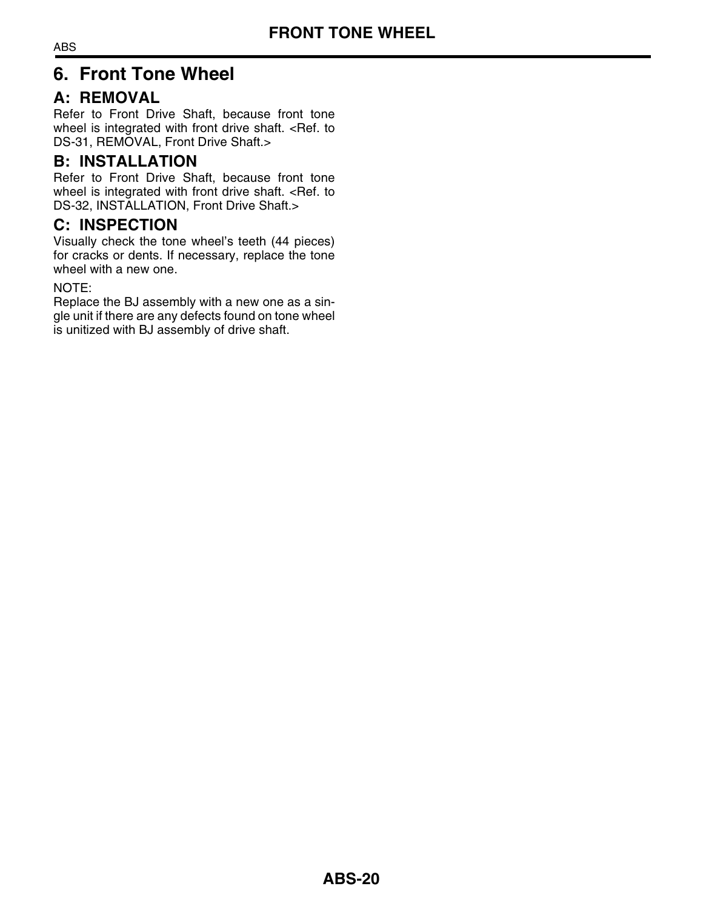## <span id="page-19-0"></span>**6. Front Tone Wheel**

## **A: REMOVAL**

Refer to Front Drive Shaft, because front tone wheel is integrated with front drive shaft. <Ref. to DS-31, REMOVAL, Front Drive Shaft.>

## **B: INSTALLATION**

Refer to Front Drive Shaft, because front tone wheel is integrated with front drive shaft. <Ref. to DS-32, INSTALLATION, Front Drive Shaft.>

## **C: INSPECTION**

Visually check the tone wheel's teeth (44 pieces) for cracks or dents. If necessary, replace the tone wheel with a new one.

#### NOTE:

Replace the BJ assembly with a new one as a single unit if there are any defects found on tone wheel is unitized with BJ assembly of drive shaft.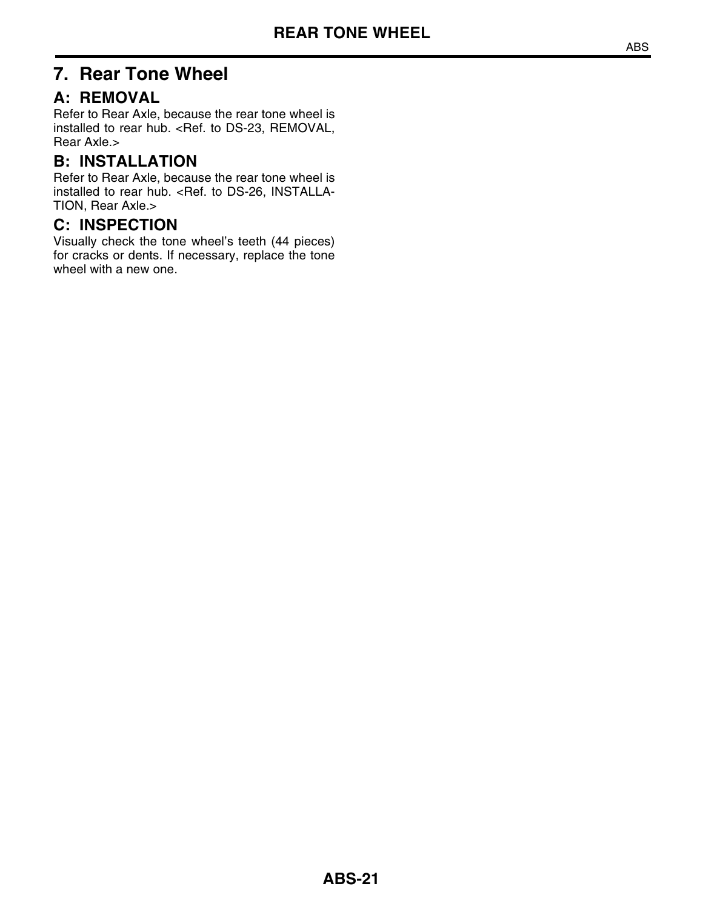## <span id="page-20-0"></span>**7. Rear Tone Wheel**

## **A: REMOVAL**

Refer to Rear Axle, because the rear tone wheel is installed to rear hub. <Ref. to DS-23, REMOVAL, Rear Axle.>

## **B: INSTALLATION**

Refer to Rear Axle, because the rear tone wheel is installed to rear hub. <Ref. to DS-26, INSTALLA-TION, Rear Axle.>

## **C: INSPECTION**

Visually check the tone wheel's teeth (44 pieces) for cracks or dents. If necessary, replace the tone wheel with a new one.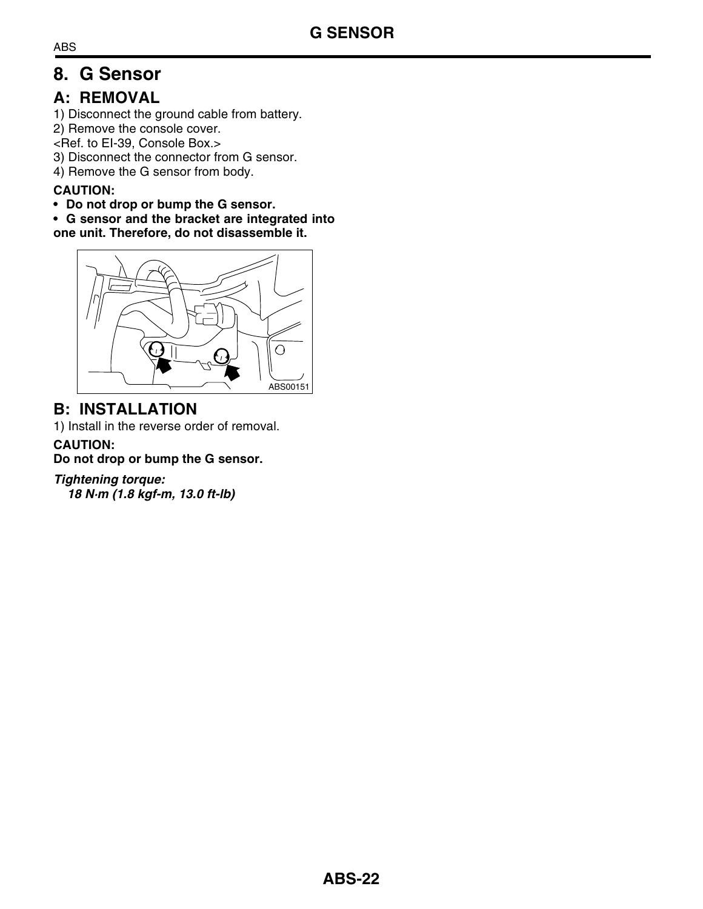## <span id="page-21-0"></span>**8. G Sensor**

## **A: REMOVAL**

1) Disconnect the ground cable from battery.

2) Remove the console cover.

<Ref. to EI-39, Console Box.>

3) Disconnect the connector from G sensor.

4) Remove the G sensor from body.

#### **CAUTION:**

**• Do not drop or bump the G sensor.**

**• G sensor and the bracket are integrated into**

**one unit. Therefore, do not disassemble it.**



## **B: INSTALLATION**

1) Install in the reverse order of removal.

#### **CAUTION:**

**Do not drop or bump the G sensor.**

#### *Tightening torque:*

*18 N·m (1.8 kgf-m, 13.0 ft-lb)*